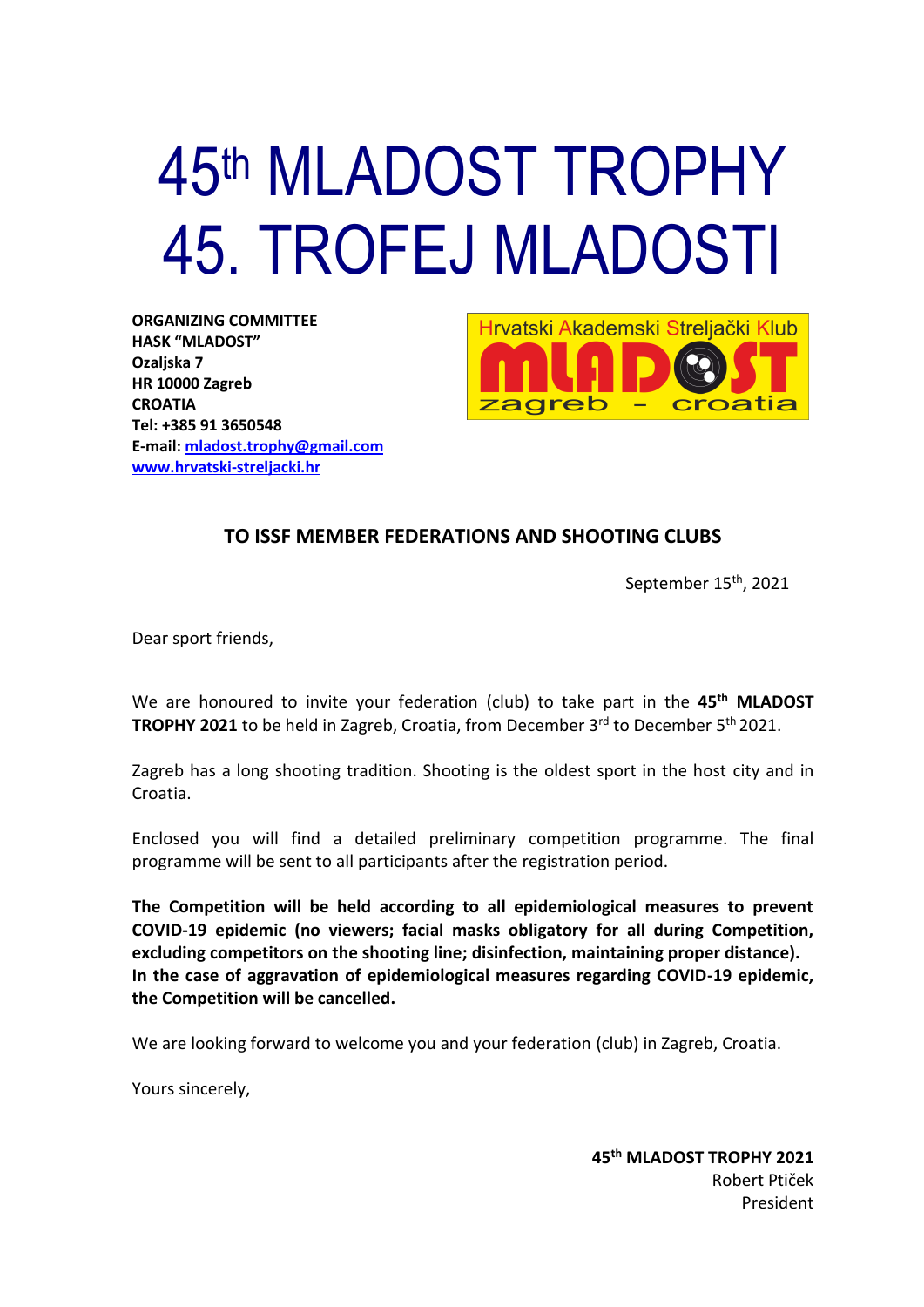# 45<sup>th</sup> MLADOST TROPHY 45. TROFEJ MLADOSTI

**ORGANIZING COMMITTEE HASK "MLADOST" Ozaljska 7 HR 10000 Zagreb CROATIA Tel: +385 91 3650548 E-mail: [mladost.trophy@gmail.com](mailto:mladost.trophy@gmail.com) [www.hrvatski-streljacki.hr](http://www.hrvatski-streljacki.hr/)**



## **TO ISSF MEMBER FEDERATIONS AND SHOOTING CLUBS**

September 15<sup>th</sup>, 2021

Dear sport friends,

We are honoured to invite your federation (club) to take part in the 45<sup>th</sup> MLADOST **TROPHY 2021** to be held in Zagreb, Croatia, from December 3<sup>rd</sup> to December 5<sup>th</sup> 2021.

Zagreb has a long shooting tradition. Shooting is the oldest sport in the host city and in Croatia.

Enclosed you will find a detailed preliminary competition programme. The final programme will be sent to all participants after the registration period.

**The Competition will be held according to all epidemiological measures to prevent COVID-19 epidemic (no viewers; facial masks obligatory for all during Competition, excluding competitors on the shooting line; disinfection, maintaining proper distance). In the case of aggravation of epidemiological measures regarding COVID-19 epidemic, the Competition will be cancelled.**

We are looking forward to welcome you and your federation (club) in Zagreb, Croatia.

Yours sincerely,

**45 th MLADOST TROPHY 2021** Robert Ptiček President